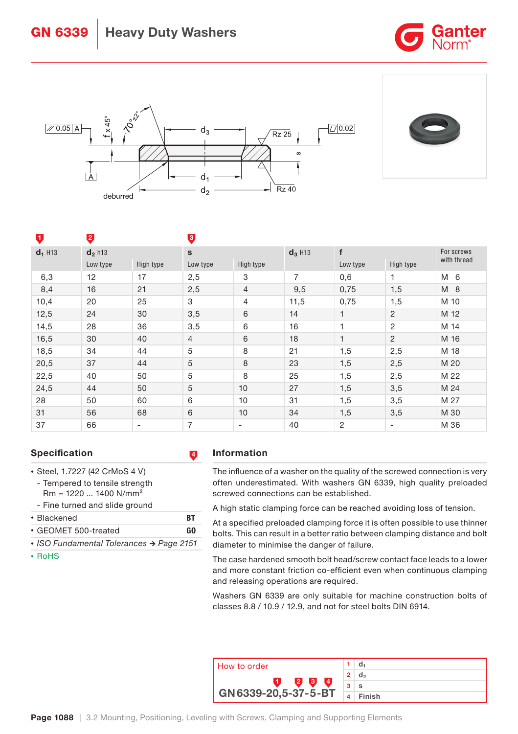





| υ                     | $\overline{a}$        |                          | €              |                          |                       |                |                          |                           |  |
|-----------------------|-----------------------|--------------------------|----------------|--------------------------|-----------------------|----------------|--------------------------|---------------------------|--|
| $d_1$ H <sub>13</sub> | $d_2$ h <sub>13</sub> |                          | $\mathbf{s}$   |                          | $d_3$ H <sub>13</sub> | f              |                          | For screws<br>with thread |  |
|                       | Low type              | High type                | Low type       | High type                |                       | Low type       | High type                |                           |  |
| 6,3                   | 12                    | 17                       | 2,5            | 3                        | $\overline{7}$        | 0,6            | 1                        | M 6                       |  |
| 8,4                   | 16                    | 21                       | 2,5            | $\overline{4}$           | 9,5                   | 0,75           | 1,5                      | M 8                       |  |
| 10,4                  | 20                    | 25                       | 3              | 4                        | 11,5                  | 0,75           | 1,5                      | M 10                      |  |
| 12,5                  | 24                    | 30                       | 3,5            | 6                        | 14                    | 1              | 2                        | M 12                      |  |
| 14,5                  | 28                    | 36                       | 3,5            | 6                        | 16                    | 1              | 2                        | M 14                      |  |
| 16,5                  | 30                    | 40                       | $\overline{4}$ | 6                        | 18                    | 1              | 2                        | M 16                      |  |
| 18,5                  | 34                    | 44                       | 5              | 8                        | 21                    | 1,5            | 2,5                      | M 18                      |  |
| 20,5                  | 37                    | 44                       | 5              | 8                        | 23                    | 1,5            | 2,5                      | M 20                      |  |
| 22,5                  | 40                    | 50                       | 5              | 8                        | 25                    | 1,5            | 2,5                      | M 22                      |  |
| 24,5                  | 44                    | 50                       | 5              | 10                       | 27                    | 1,5            | 3,5                      | M 24                      |  |
| 28                    | 50                    | 60                       | 6              | 10                       | 31                    | 1,5            | 3,5                      | M 27                      |  |
| 31                    | 56                    | 68                       | 6              | 10                       | 34                    | 1,5            | 3,5                      | M 30                      |  |
| 37                    | 66                    | $\overline{\phantom{a}}$ | 7              | $\overline{\phantom{a}}$ | 40                    | $\overline{c}$ | $\overline{\phantom{a}}$ | M 36                      |  |

# Specification **4**

- Steel, 1.7227 (42 CrMoS 4 V)
- Tempered to tensile strength Rm = 1220 ... 1400 N/mm²
- Fine turned and slide ground
- Blackened BT
- GEOMET 500-treated GO
- *•* ISO Fundamental Tolerances → Page 2151
- RoHS

# Information

The influence of a washer on the quality of the screwed connection is very often underestimated. With washers GN 6339, high quality preloaded screwed connections can be established.

A high static clamping force can be reached avoiding loss of tension.

At a specified preloaded clamping force it is often possible to use thinner bolts. This can result in a better ratio between clamping distance and bolt diameter to minimise the danger of failure.

The case hardened smooth bolt head/screw contact face leads to a lower and more constant friction co-efficient even when continuous clamping and releasing operations are required.

Washers GN 6339 are only suitable for machine construction bolts of classes 8.8 / 10.9 / 12.9, and not for steel bolts DIN 6914.

| How to order               |   |        |
|----------------------------|---|--------|
|                            | 2 | d,     |
| lЗ.<br>$\overline{4}$<br>Й | ີ | s      |
| GN 6339-20, 5-37-5-BT      |   | Finish |